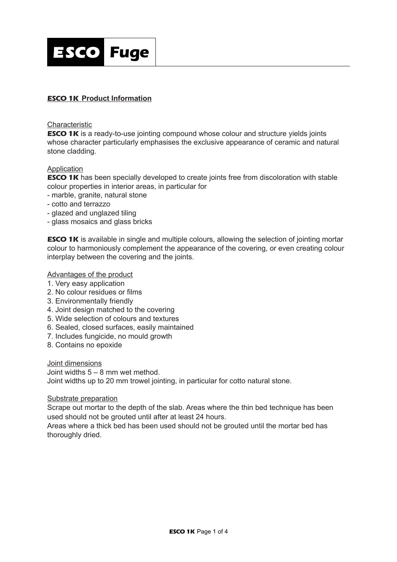

# *ESCO 1K* **Product Information**

#### Characteristic

**ESCO 1K** is a ready-to-use jointing compound whose colour and structure yields joints whose character particularly emphasises the exclusive appearance of ceramic and natural stone cladding.

# Application

**ESCO 1K** has been specially developed to create joints free from discoloration with stable colour properties in interior areas, in particular for

- marble, granite, natural stone
- cotto and terrazzo
- glazed and unglazed tiling
- glass mosaics and glass bricks

**ESCO 1K** is available in single and multiple colours, allowing the selection of jointing mortar colour to harmoniously complement the appearance of the covering, or even creating colour interplay between the covering and the joints.

# Advantages of the product

- 1. Very easy application
- 2. No colour residues or films
- 3. Environmentally friendly
- 4. Joint design matched to the covering
- 5. Wide selection of colours and textures
- 6. Sealed, closed surfaces, easily maintained
- 7. Includes fungicide, no mould growth
- 8. Contains no epoxide

Joint dimensions Joint widths 5 – 8 mm wet method. Joint widths up to 20 mm trowel jointing, in particular for cotto natural stone.

#### Substrate preparation

Scrape out mortar to the depth of the slab. Areas where the thin bed technique has been used should not be grouted until after at least 24 hours.

Areas where a thick bed has been used should not be grouted until the mortar bed has thoroughly dried.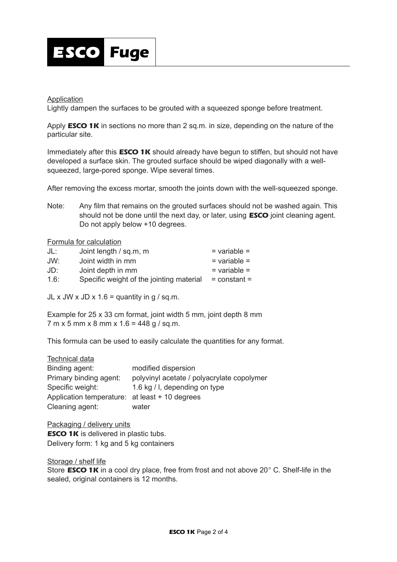

#### Application

Lightly dampen the surfaces to be grouted with a squeezed sponge before treatment.

Apply *ESCO 1K* in sections no more than 2 sq.m. in size, depending on the nature of the particular site.

Immediately after this *ESCO 1K* should already have begun to stiffen, but should not have developed a surface skin. The grouted surface should be wiped diagonally with a wellsqueezed, large-pored sponge. Wipe several times.

After removing the excess mortar, smooth the joints down with the well-squeezed sponge.

Note: Any film that remains on the grouted surfaces should not be washed again. This should not be done until the next day, or later, using *ESCO* joint cleaning agent. Do not apply below +10 degrees.

#### Formula for calculation

| JL:  | Joint length / sq.m, m                   | $=$ variable $=$ |
|------|------------------------------------------|------------------|
| JW:  | Joint width in mm                        | $=$ variable $=$ |
| JD:  | Joint depth in mm                        | $=$ variable $=$ |
| 1.6: | Specific weight of the jointing material | $=$ constant $=$ |

JL x JW x JD x  $1.6$  = quantity in g / sq.m.

Example for 25 x 33 cm format, joint width 5 mm, joint depth 8 mm 7 m x 5 mm x 8 mm x 1.6 = 448 g / sq.m.

This formula can be used to easily calculate the quantities for any format.

| <b>Technical data</b>                          |                                            |
|------------------------------------------------|--------------------------------------------|
| Binding agent:                                 | modified dispersion                        |
| Primary binding agent:                         | polyvinyl acetate / polyacrylate copolymer |
| Specific weight:                               | 1.6 kg / I, depending on type              |
| Application temperature: at least + 10 degrees |                                            |
| Cleaning agent:                                | water                                      |

Packaging / delivery units **ESCO 1K** is delivered in plastic tubs. Delivery form: 1 kg and 5 kg containers

Storage / shelf life Store *ESCO 1K* in a cool dry place, free from frost and not above 20° C. Shelf-life in the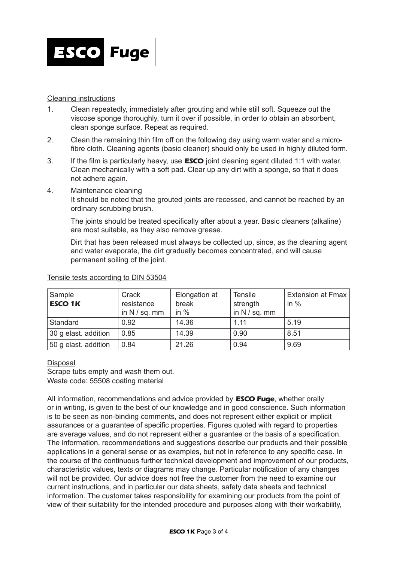

# Cleaning instructions

- 1. Clean repeatedly, immediately after grouting and while still soft. Squeeze out the viscose sponge thoroughly, turn it over if possible, in order to obtain an absorbent, clean sponge surface. Repeat as required.
- 2. Clean the remaining thin film off on the following day using warm water and a microfibre cloth. Cleaning agents (basic cleaner) should only be used in highly diluted form.
- 3. If the film is particularly heavy, use *ESCO* joint cleaning agent diluted 1:1 with water. Clean mechanically with a soft pad. Clear up any dirt with a sponge, so that it does not adhere again.
- 4. Maintenance cleaning

It should be noted that the grouted joints are recessed, and cannot be reached by an ordinary scrubbing brush.

The joints should be treated specifically after about a year. Basic cleaners (alkaline) are most suitable, as they also remove grease.

Dirt that has been released must always be collected up, since, as the cleaning agent and water evaporate, the dirt gradually becomes concentrated, and will cause permanent soiling of the joint.

| Sample<br><b>ESCO 1K</b> | Crack<br>resistance<br>in $N / sq.$ mm | Elongation at<br>break<br>in $%$ | <b>Tensile</b><br>strength<br>in $N / sq.$ mm | <b>Extension at Fmax</b><br>in $%$ |
|--------------------------|----------------------------------------|----------------------------------|-----------------------------------------------|------------------------------------|
| Standard                 | 0.92                                   | 14.36                            | 1.11                                          | 5.19                               |
| 30 g elast. addition     | 0.85                                   | 14.39                            | 0.90                                          | 8.51                               |
| 50 g elast. addition     | 0.84                                   | 21.26                            | 0.94                                          | 9.69                               |

# Tensile tests according to DIN 53504

# **Disposal**

Scrape tubs empty and wash them out. Waste code: 55508 coating material

All information, recommendations and advice provided by *ESCO Fuge*, whether orally or in writing, is given to the best of our knowledge and in good conscience. Such information is to be seen as non-binding comments, and does not represent either explicit or implicit assurances or a guarantee of specific properties. Figures quoted with regard to properties are average values, and do not represent either a guarantee or the basis of a specification. The information, recommendations and suggestions describe our products and their possible applications in a general sense or as examples, but not in reference to any specific case. In the course of the continuous further technical development and improvement of our products, characteristic values, texts or diagrams may change. Particular notification of any changes will not be provided. Our advice does not free the customer from the need to examine our current instructions, and in particular our data sheets, safety data sheets and technical information. The customer takes responsibility for examining our products from the point of view of their suitability for the intended procedure and purposes along with their workability,